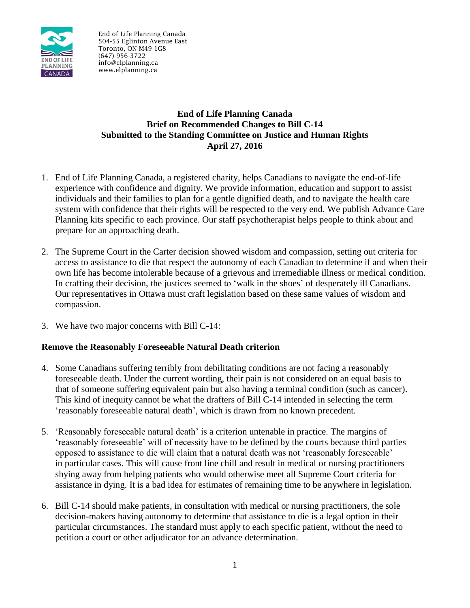

End of Life Planning Canada 504-55 Eglinton Avenue East Toronto, ON M49 1G8 (647)-956-3722 info@elplanning.ca www.elplanning.ca

## **End of Life Planning Canada Brief on Recommended Changes to Bill C-14 Submitted to the Standing Committee on Justice and Human Rights April 27, 2016**

- 1. End of Life Planning Canada, a registered charity, helps Canadians to navigate the end-of-life experience with confidence and dignity. We provide information, education and support to assist individuals and their families to plan for a gentle dignified death, and to navigate the health care system with confidence that their rights will be respected to the very end. We publish Advance Care Planning kits specific to each province. Our staff psychotherapist helps people to think about and prepare for an approaching death.
- 2. The Supreme Court in the Carter decision showed wisdom and compassion, setting out criteria for access to assistance to die that respect the autonomy of each Canadian to determine if and when their own life has become intolerable because of a grievous and irremediable illness or medical condition. In crafting their decision, the justices seemed to 'walk in the shoes' of desperately ill Canadians. Our representatives in Ottawa must craft legislation based on these same values of wisdom and compassion.
- 3. We have two major concerns with Bill C-14:

## **Remove the Reasonably Foreseeable Natural Death criterion**

- 4. Some Canadians suffering terribly from debilitating conditions are not facing a reasonably foreseeable death. Under the current wording, their pain is not considered on an equal basis to that of someone suffering equivalent pain but also having a terminal condition (such as cancer). This kind of inequity cannot be what the drafters of Bill C-14 intended in selecting the term 'reasonably foreseeable natural death', which is drawn from no known precedent.
- 5. 'Reasonably foreseeable natural death' is a criterion untenable in practice. The margins of 'reasonably foreseeable' will of necessity have to be defined by the courts because third parties opposed to assistance to die will claim that a natural death was not 'reasonably foreseeable' in particular cases. This will cause front line chill and result in medical or nursing practitioners shying away from helping patients who would otherwise meet all Supreme Court criteria for assistance in dying. It is a bad idea for estimates of remaining time to be anywhere in legislation.
- 6. Bill C-14 should make patients, in consultation with medical or nursing practitioners, the sole decision-makers having autonomy to determine that assistance to die is a legal option in their particular circumstances. The standard must apply to each specific patient, without the need to petition a court or other adjudicator for an advance determination.